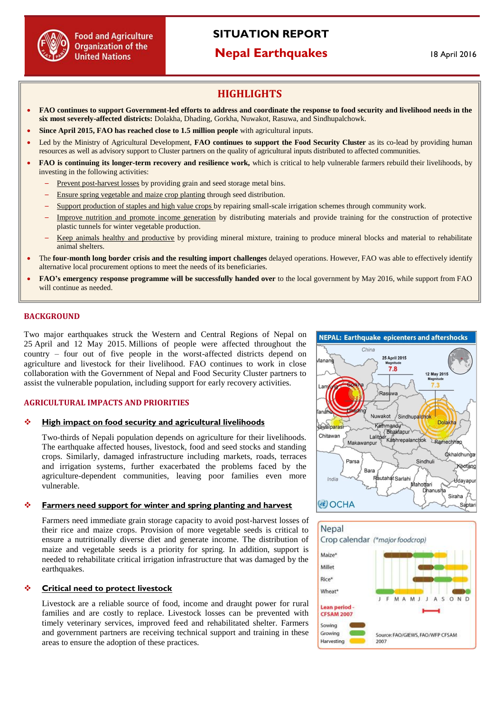

# **SITUATION REPORT**

## **Nepal Earthquakes**

## **HIGHLIGHTS**

- **FAO continues to support Government-led efforts to address and coordinate the response to food security and livelihood needs in the six most severely-affected districts:** Dolakha, Dhading, Gorkha, Nuwakot, Rasuwa, and Sindhupalchowk.
- **Since April 2015, FAO has reached close to 1.5 million people** with agricultural inputs.
- Led by the Ministry of Agricultural Development, **FAO continues to support the Food Security Cluster** as its co-lead by providing human resources as well as advisory support to Cluster partners on the quality of agricultural inputs distributed to affected communities.
- **FAO is continuing its longer-term recovery and resilience work,** which is critical to help vulnerable farmers rebuild their livelihoods, by investing in the following activities:
	- Prevent post-harvest losses by providing grain and seed storage metal bins.
	- Ensure spring vegetable and maize crop planting through seed distribution.
	- Support production of staples and high value crops by repairing small-scale irrigation schemes through community work.
	- Improve nutrition and promote income generation by distributing materials and provide training for the construction of protective plastic tunnels for winter vegetable production.
		- Keep animals healthy and productive by providing mineral mixture, training to produce mineral blocks and material to rehabilitate animal shelters.
- The **four-month long border crisis and the resulting import challenges** delayed operations. However, FAO was able to effectively identify alternative local procurement options to meet the needs of its beneficiaries.
- **FAO's emergency response programme will be successfully handed over** to the local government by May 2016, while support from FAO will continue as needed.

## **BACKGROUND**

Two major earthquakes struck the Western and Central Regions of Nepal on 25 April and 12 May 2015. Millions of people were affected throughout the country – four out of five people in the worst-affected districts depend on agriculture and livestock for their livelihood. FAO continues to work in close collaboration with the Government of Nepal and Food Security Cluster partners to assist the vulnerable population, including support for early recovery activities.

#### **AGRICULTURAL IMPACTS AND PRIORITIES**

#### **High impact on food security and agricultural livelihoods**

Two-thirds of Nepali population depends on agriculture for their livelihoods. The earthquake affected houses, livestock, food and seed stocks and standing crops. Similarly, damaged infrastructure including markets, roads, terraces and irrigation systems, further exacerbated the problems faced by the agriculture-dependent communities, leaving poor families even more vulnerable.

#### **Farmers need support for winter and spring planting and harvest**

Farmers need immediate grain storage capacity to avoid post-harvest losses of their rice and maize crops. Provision of more vegetable seeds is critical to ensure a nutritionally diverse diet and generate income. The distribution of maize and vegetable seeds is a priority for spring. In addition, support is needed to rehabilitate critical irrigation infrastructure that was damaged by the earthquakes.

## **Critical need to protect livestock**

Livestock are a reliable source of food, income and draught power for rural families and are costly to replace. Livestock losses can be prevented with timely veterinary services, improved feed and rehabilitated shelter. Farmers and government partners are receiving technical support and training in these areas to ensure the adoption of these practices.